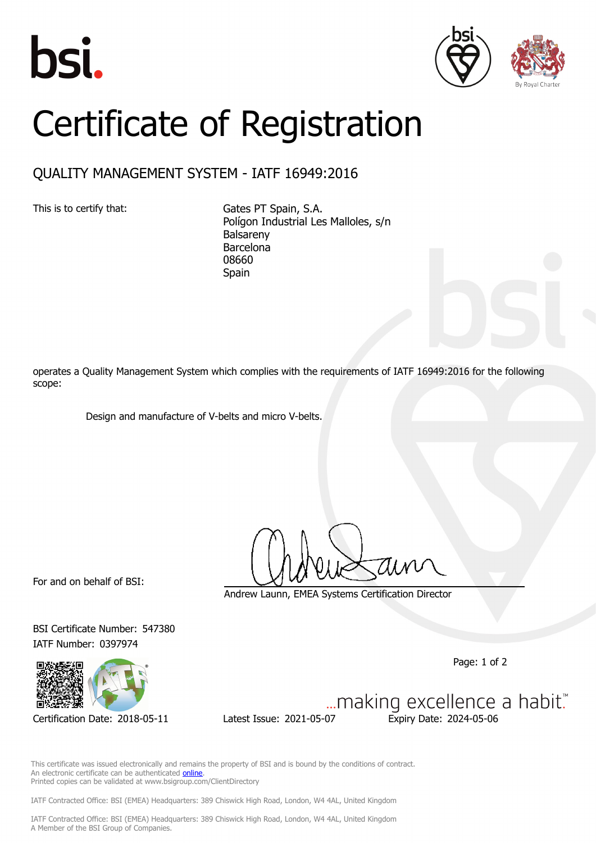





## Certificate of Registration

## QUALITY MANAGEMENT SYSTEM - IATF 16949:2016

This is to certify that: Gates PT Spain, S.A. Polígon Industrial Les Malloles, s/n Balsareny Barcelona 08660 Spain

operates a Quality Management System which complies with the requirements of IATF 16949:2016 for the following scope:

Design and manufacture of V-belts and micro V-belts.

For and on behalf of BSI:

Andrew Launn, EMEA Systems Certification Director

BSI Certificate Number: 547380 IATF Number: 0397974



Page: 1 of 2

Certification Date: 2018-05-11 Latest Issue: 2021-05-07 Expiry Date: 2024-05-06

... making excellence a habit."

This certificate was issued electronically and remains the property of BSI and is bound by the conditions of contract. An electronic certificate can be authenticated **[online](https://pgplus.bsigroup.com/CertificateValidation/CertificateValidator.aspx?CertificateNumber=TS+547380&ReIssueDate=07%2f05%2f2021&Template=cemea_en)** Printed copies can be validated at www.bsigroup.com/ClientDirectory

IATF Contracted Office: BSI (EMEA) Headquarters: 389 Chiswick High Road, London, W4 4AL, United Kingdom

IATF Contracted Office: BSI (EMEA) Headquarters: 389 Chiswick High Road, London, W4 4AL, United Kingdom A Member of the BSI Group of Companies.